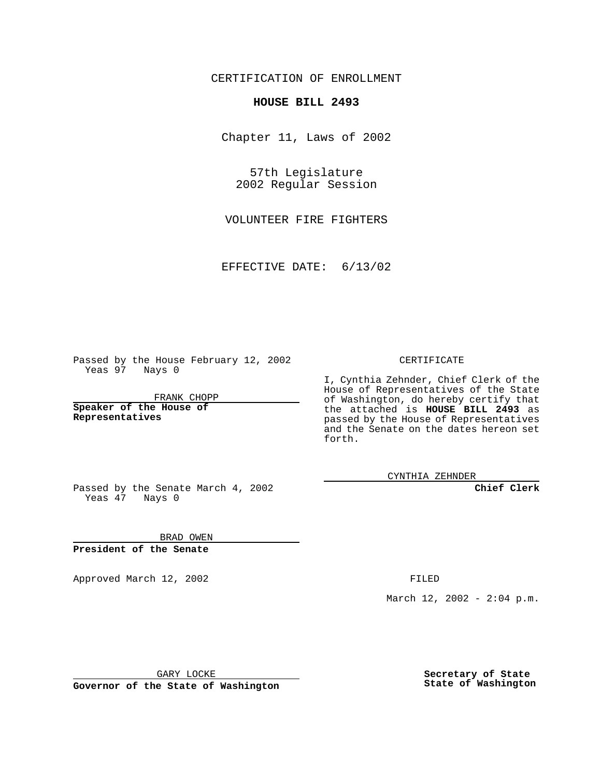CERTIFICATION OF ENROLLMENT

## **HOUSE BILL 2493**

Chapter 11, Laws of 2002

57th Legislature 2002 Regular Session

VOLUNTEER FIRE FIGHTERS

EFFECTIVE DATE: 6/13/02

Passed by the House February 12, 2002 Yeas 97 Nays 0

FRANK CHOPP

**Speaker of the House of Representatives**

CERTIFICATE

I, Cynthia Zehnder, Chief Clerk of the House of Representatives of the State of Washington, do hereby certify that the attached is **HOUSE BILL 2493** as passed by the House of Representatives and the Senate on the dates hereon set forth.

CYNTHIA ZEHNDER

**Chief Clerk**

Passed by the Senate March 4, 2002 Yeas  $47$  Nays 0

BRAD OWEN **President of the Senate**

Approved March 12, 2002 **FILED** 

March 12, 2002 - 2:04 p.m.

GARY LOCKE

**Governor of the State of Washington**

**Secretary of State State of Washington**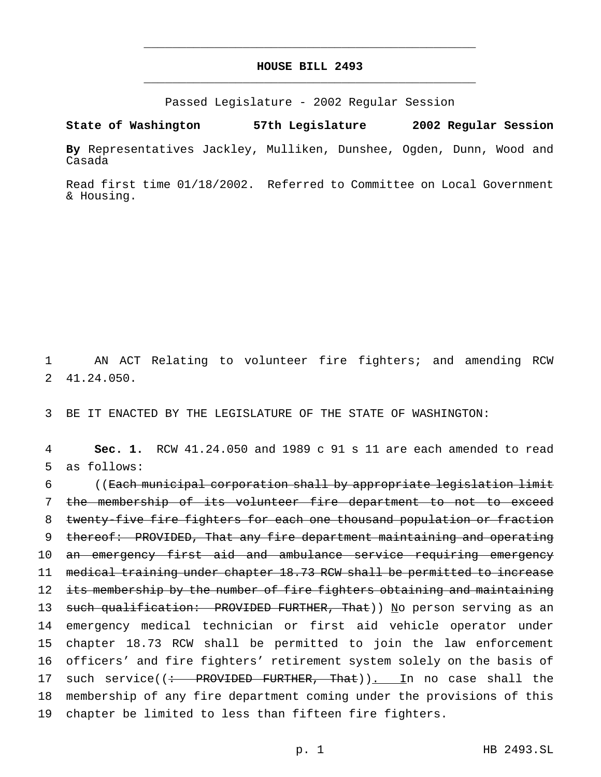## **HOUSE BILL 2493** \_\_\_\_\_\_\_\_\_\_\_\_\_\_\_\_\_\_\_\_\_\_\_\_\_\_\_\_\_\_\_\_\_\_\_\_\_\_\_\_\_\_\_\_\_\_\_

\_\_\_\_\_\_\_\_\_\_\_\_\_\_\_\_\_\_\_\_\_\_\_\_\_\_\_\_\_\_\_\_\_\_\_\_\_\_\_\_\_\_\_\_\_\_\_

Passed Legislature - 2002 Regular Session

**State of Washington 57th Legislature 2002 Regular Session**

**By** Representatives Jackley, Mulliken, Dunshee, Ogden, Dunn, Wood and Casada

Read first time 01/18/2002. Referred to Committee on Local Government & Housing.

1 AN ACT Relating to volunteer fire fighters; and amending RCW 2 41.24.050.

3 BE IT ENACTED BY THE LEGISLATURE OF THE STATE OF WASHINGTON:

4 **Sec. 1.** RCW 41.24.050 and 1989 c 91 s 11 are each amended to read 5 as follows:

 ((Each municipal corporation shall by appropriate legislation limit the membership of its volunteer fire department to not to exceed twenty-five fire fighters for each one thousand population or fraction thereof: PROVIDED, That any fire department maintaining and operating 10 an emergency first aid and ambulance service requiring emergency medical training under chapter 18.73 RCW shall be permitted to increase 12 its membership by the number of fire fighters obtaining and maintaining 13 such qualification: PROVIDED FURTHER, That)) No person serving as an emergency medical technician or first aid vehicle operator under chapter 18.73 RCW shall be permitted to join the law enforcement officers' and fire fighters' retirement system solely on the basis of 17 such service((: PROVIDED FURTHER, That)). In no case shall the membership of any fire department coming under the provisions of this chapter be limited to less than fifteen fire fighters.